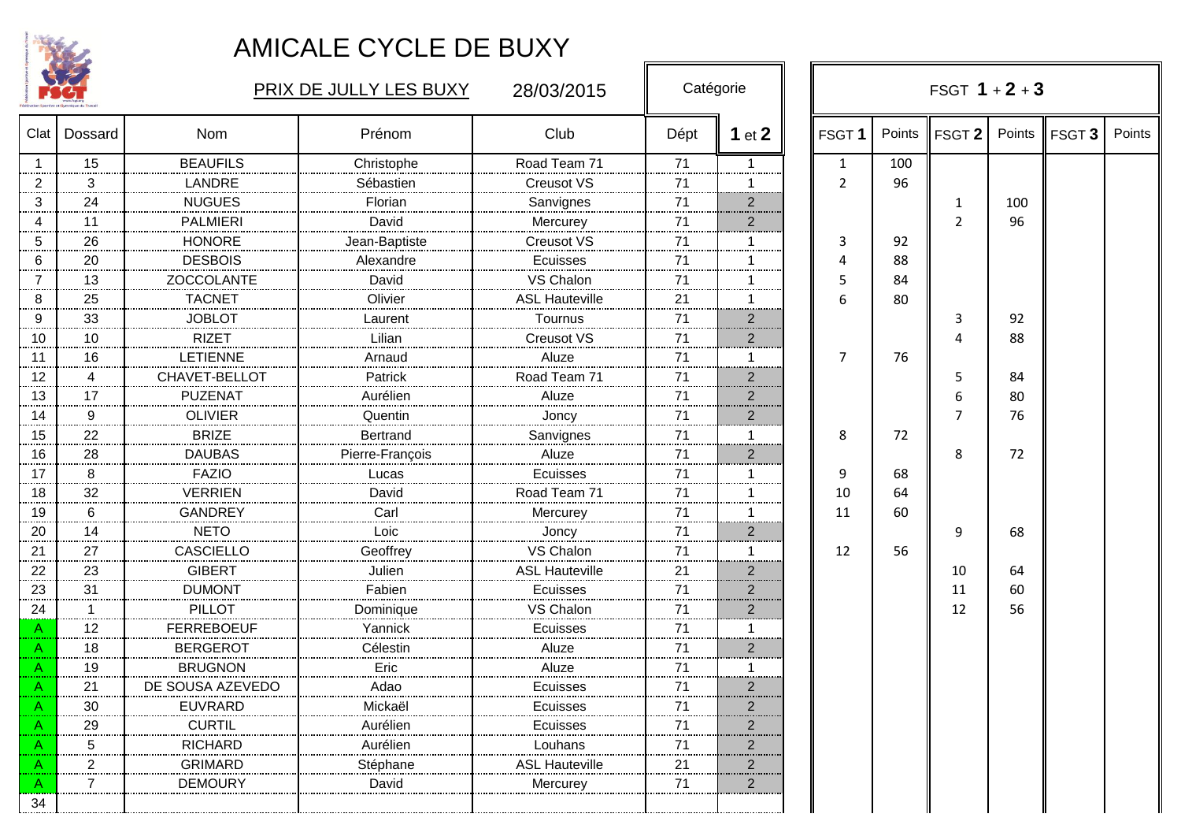

|         | <b>1861</b> |                    | PRIX DE JULLY LES BUXY |                       | Catégorie |                         |                   |        | FSGT $1 + 2 + 3$  |     |                 |        |  |  |
|---------|-------------|--------------------|------------------------|-----------------------|-----------|-------------------------|-------------------|--------|-------------------|-----|-----------------|--------|--|--|
| Clat    | Dossard     | <b>Nom</b>         | Prénom                 | Club                  | Dépt      | 1 $et$ 2                | FSGT <sub>1</sub> | Points | FSGT <sub>2</sub> |     | Points   FSGT 3 | Points |  |  |
|         | 15          | <b>BEAUFILS</b>    | Christophe             | Road Team 71          | 71        | $\mathbf{1}$            | $\mathbf{1}$      | 100    |                   |     |                 |        |  |  |
| 2       | 3           | LANDRE             | Sébastien              | Creusot VS            | 71        | 1                       | 2                 | 96     |                   |     |                 |        |  |  |
| 3       | 24          | <b>NUGUES</b>      | Florian                | Sanvignes             | 71<br>.   | سيب<br>$\overline{2}$   |                   |        | 1                 | 100 |                 |        |  |  |
|         | 11          | <b>PALMIERI</b>    | David                  | Mercurey              | 71        | .<br>$\overline{2}$     |                   |        | $\overline{2}$    | 96  |                 |        |  |  |
| 5       | 26          | <b>HONORE</b>      | Jean-Baptiste          | Creusot VS            | 71        | 1                       | 3                 | 92     |                   |     |                 |        |  |  |
| 6       | 20          | <b>DESBOIS</b>     | Alexandre              | Ecuisses              | 71        | 1                       | Δ                 | 88     |                   |     |                 |        |  |  |
|         | 13          | ZOCCOLANTE         | David                  | VS Chalon             | 71        |                         | 5                 | 84     |                   |     |                 |        |  |  |
| 8       | 25          | <b>TACNET</b>      | Olivier                | <b>ASL Hauteville</b> | 21        | 1                       | 6                 | 80     |                   |     |                 |        |  |  |
| 9       | 33          | <b>JOBLOT</b>      | Laurent                | Tournus               | 71        | $\overline{2}$          |                   |        | 3                 | 92  |                 |        |  |  |
| 10      | 10          | <b>RIZET</b>       | Lilian                 | Creusot VS            | 71        | $\overline{2}$          |                   |        | 4                 | 88  |                 |        |  |  |
| 11      | 16          | <b>LETIENNE</b>    | Arnaud                 | Aluze                 | 71        | $\blacktriangleleft$    | 7                 | 76     |                   |     |                 |        |  |  |
| 12      |             | CHAVET-BELLOT      | Patrick                | Road Team 71          | 71        | $\overline{2}$<br>      |                   |        | 5                 | 84  |                 |        |  |  |
| 13      | 17          | <b>PUZENAT</b>     | Aurélien               | Aluze                 | 71        | $\overline{2}$          |                   |        | 6                 | 80  |                 |        |  |  |
| .<br>14 | 9           | <b>OLIVIER</b>     | Quentin                | Joncy                 | 71        | $\overline{2}$          |                   |        | 7                 | 76  |                 |        |  |  |
| 15      | 22          | <b>BRIZE</b>       | <b>Bertrand</b>        | Sanvignes             | 71        | 1                       | 8                 | 72     |                   |     |                 |        |  |  |
| 16      | 28<br>.     | <b>DAUBAS</b>      | Pierre-François        | Aluze                 | 71<br>.   | $\overline{2}$          |                   |        | 8                 | 72  |                 |        |  |  |
| 17      | 8           | <b>FAZIO</b>       | Lucas                  | Ecuisses              | 71        | 1                       | 9                 | 68     |                   |     |                 |        |  |  |
| 18      | 32          | <b>VERRIEN</b>     | David                  | Road Team 71          | 71        | -1                      | 10                | 64     |                   |     |                 |        |  |  |
| 19      | 6           | <b>GANDREY</b>     | Carl                   | Mercurey              | 71<br>    |                         | 11                | 60     |                   |     |                 |        |  |  |
| <br>20  | 14          | <b>NETO</b>        | Loic                   | Joncy                 | 71        | مسمعه<br>$\overline{2}$ |                   |        | 9                 | 68  |                 |        |  |  |
| 21      | 27          | <b>CASCIELLO</b>   | Geoffrey               | VS Chalon             | 71        | $\mathbf{1}$            | 12                | 56     |                   |     |                 |        |  |  |
| 22      | 23          | <b>GIBERT</b>      | Julien<br>.            | <b>ASL Hauteville</b> | 21        | $\mathbf{2}$            |                   |        | 10                | 64  |                 |        |  |  |
| 23      | 31          | <b>DUMONT</b>      | Fabien                 | Ecuisses              | 71        | $\overline{2}$          |                   |        | 11                | 60  |                 |        |  |  |
| 24      |             | <b>PILLOT</b>      | Dominique              | VS Chalon             | 71        | $\overline{2}$          |                   |        | 12                | 56  |                 |        |  |  |
|         | 12          | <b>FERREBOEUF</b>  | Yannick                | Ecuisses              | 71        | 1                       |                   |        |                   |     |                 |        |  |  |
|         | 18          | <b>BERGEROT</b>    | Célestin               | Aluze                 | 71        | $\overline{2}$          |                   |        |                   |     |                 |        |  |  |
|         | 19          | <b>BRUGNON</b>     | Eric                   | Aluze                 | 71        | 1                       |                   |        |                   |     |                 |        |  |  |
|         | 21<br>      | DE SOUSA AZEVEDO   | Adao                   | Ecuisses              | 71        | $\mathbf{2}$            |                   |        |                   |     |                 |        |  |  |
|         | 30          | <b>EUVRARD</b><br> | Mickaël                | ⊏cuisses<br>          | 71<br>    | $\overline{2}$          |                   |        |                   |     |                 |        |  |  |
|         | 29          | <b>CURTIL</b>      | Aurélien               | Ecuisses              | 71        | <br>$\overline{2}$      |                   |        |                   |     |                 |        |  |  |
|         | 5           | <b>RICHARD</b>     | Aurélien               | Louhans               | 71        | $\overline{2}$          |                   |        |                   |     |                 |        |  |  |
|         | 2           | GRIMARD            | Stéphane               | ASL Hauteville        | 21        | $\overline{2}$          |                   |        |                   |     |                 |        |  |  |
|         | 7           | <b>DEMOURY</b>     | David                  | Mercurey              | 71        | $\overline{2}$          |                   |        |                   |     |                 |        |  |  |
| 34      |             |                    |                        |                       |           |                         |                   |        |                   |     |                 |        |  |  |

ा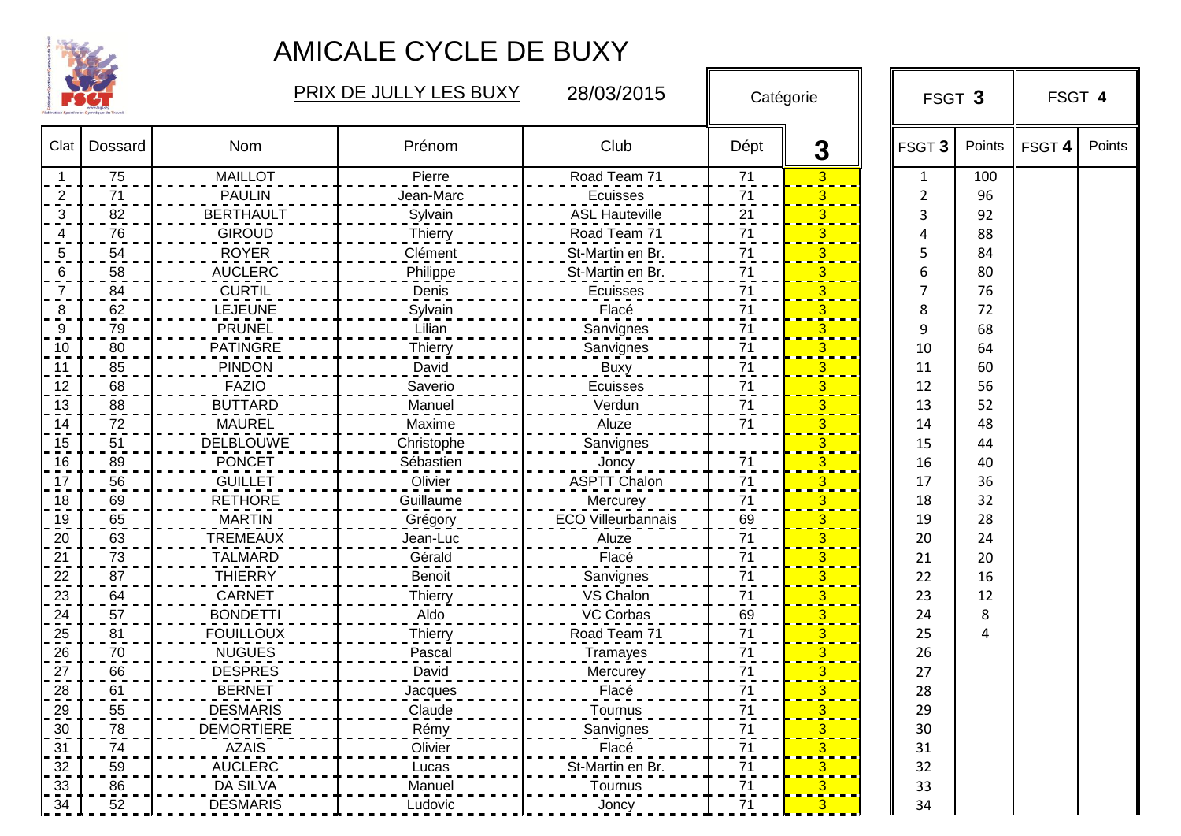

|      |         |                   | <b>PRIX DE JULLY LES BUXY</b> | 28/03/2015                |                | Catégorie | FSGT 3            |        | FSGT 4 |        |
|------|---------|-------------------|-------------------------------|---------------------------|----------------|-----------|-------------------|--------|--------|--------|
| Clat | Dossard | Nom               | Prénom                        | Club                      | Dépt           | 3         | FSGT <sub>3</sub> | Points | FSGT 4 | Points |
|      | 75      | <b>MAILLOT</b>    | Pierre                        | Road Team 71              | 71             | 3         | $\mathbf{1}$      | 100    |        |        |
| 2    | 71      | <b>PAULIN</b>     | Jean-Marc                     | <b>Ecuisses</b>           | 71             | 3         | 2                 | 96     |        |        |
| 3    | 82      | <b>BERTHAULT</b>  | Sylvain                       | <b>ASL Hauteville</b>     | 21             | 3         | 3                 | 92     |        |        |
|      | 76      | <b>GIROUD</b>     | <b>Thierry</b>                | Road Team 71              | 71             | 3         | Δ                 | 88     |        |        |
| 5    | 54      | <b>ROYER</b>      | Clément                       | St-Martin en Br.          | 71             | 3         | 5                 | 84     |        |        |
| 6    | 58      | <b>AUCLERC</b>    | Philippe                      | St-Martin en Br.          | 71             | З         | 6                 | 80     |        |        |
| 7    | 84      | <b>CURTIL</b>     | Denis                         | Ecuisses                  | 71             | 3         | 7                 | 76     |        |        |
| 8    | 62      | LEJEUNE           | Sylvain                       | Flacé                     | 71             | 3         | 8                 | 72     |        |        |
| 9    | 79      | <b>PRUNEL</b>     | Lilian                        | Sanvignes                 | 71             |           | 9                 | 68     |        |        |
| 10   | 80      | <b>PATINGRE</b>   | Thierry                       | Sanvignes                 | 71             |           | 10                | 64     |        |        |
| 11   | 85      | <b>PINDON</b>     | David                         | <b>Buxy</b>               | 71             | 3         | 11                | 60     |        |        |
| 12   | 68      | <b>FAZIO</b>      | Saverio                       | Ecuisses                  | 71             | 3         | 12                | 56     |        |        |
| 13   | 88      | <b>BUTTARD</b>    | Manuel                        | Verdun                    | 71             | 3         | 13                | 52     |        |        |
| 14   | 72      | <b>MAUREL</b>     | Maxime                        | Aluze                     | 71             | 3         | 14                | 48     |        |        |
| 15   | 51      | <b>DELBLOUWE</b>  | Christophe                    | Sanvignes                 |                | 3         | 15                | 44     |        |        |
| 16   | 89      | <b>PONCET</b>     | Sébastien                     | Joncy                     | 71             |           | 16                | 40     |        |        |
| 17   | 56      | <b>GUILLET</b>    | Olivier                       | <b>ASPTT Chalon</b>       | 71             |           | 17                | 36     |        |        |
| 18   | 69      | <b>RETHORE</b>    | Guillaume                     | Mercurey                  | 71             | 3         | 18                | 32     |        |        |
| 19   | 65      | <b>MARTIN</b>     | Grégory                       | <b>ECO Villeurbannais</b> | 69             | 3         | 19                | 28     |        |        |
| 20   | 63      | <b>TREMEAUX</b>   | Jean-Luc                      | Aluze                     | 71             |           | 20                | 24     |        |        |
| 21   | 73      | <b>TALMARD</b>    | Gérald                        | Flacé                     | 71             |           | 21                | 20     |        |        |
| 22   | 87      | <b>THIERRY</b>    | Benoit                        | Sanvignes                 | 71             | 3         | 22                | 16     |        |        |
| 23   | 64      | <b>CARNET</b>     | Thierry                       | VS Chalon                 | 71             | 3         | 23                | 12     |        |        |
| 24   | 57      | <b>BONDETTI</b>   | Aldo                          | <b>VC Corbas</b>          | 69             | 3         | 24                | 8      |        |        |
| 25   | 81      | <b>FOUILLOUX</b>  | Thierry                       | Road Team 71              | 71             |           | 25                | 4      |        |        |
| 26   | 70      | <b>NUGUES</b>     | Pascal                        | <b>Tramayes</b>           | $71$           | 3         | 26                |        |        |        |
| 27   | 66      | <b>DESPRES</b>    | David                         | Mercurey                  | 71             | З         | 27                |        |        |        |
| 28   | 61      | <b>BERNET</b>     | Jacques                       | Flacé                     | 71             | 3         | 28                |        |        |        |
| 29   | 55      | <b>DESMARIS</b>   | Claude                        | Tournus                   | 71             | 3         | 29                |        |        |        |
| 30   | 78      | <b>DEMORTIERE</b> | Rémy                          | Sanvignes                 | $71$           | 3         | 30                |        |        |        |
| 31   | 74      | <b>AZAIS</b>      | Olivier                       | Flacé                     | 71             | 3         | 31                |        |        |        |
| 32   | 59      | <b>AUCLERC</b>    | Lucas                         | St-Martin en Br.          | 71             | 3         | 32                |        |        |        |
| 33   | 86      | <b>DA SILVA</b>   | Manuel                        | Tournus                   | $\frac{71}{2}$ | 3         | 33                |        |        |        |
| 34   | 52      | <b>DESMARIS</b>   | Ludovic                       | Joncy                     | 71             | 3         | 34                |        |        |        |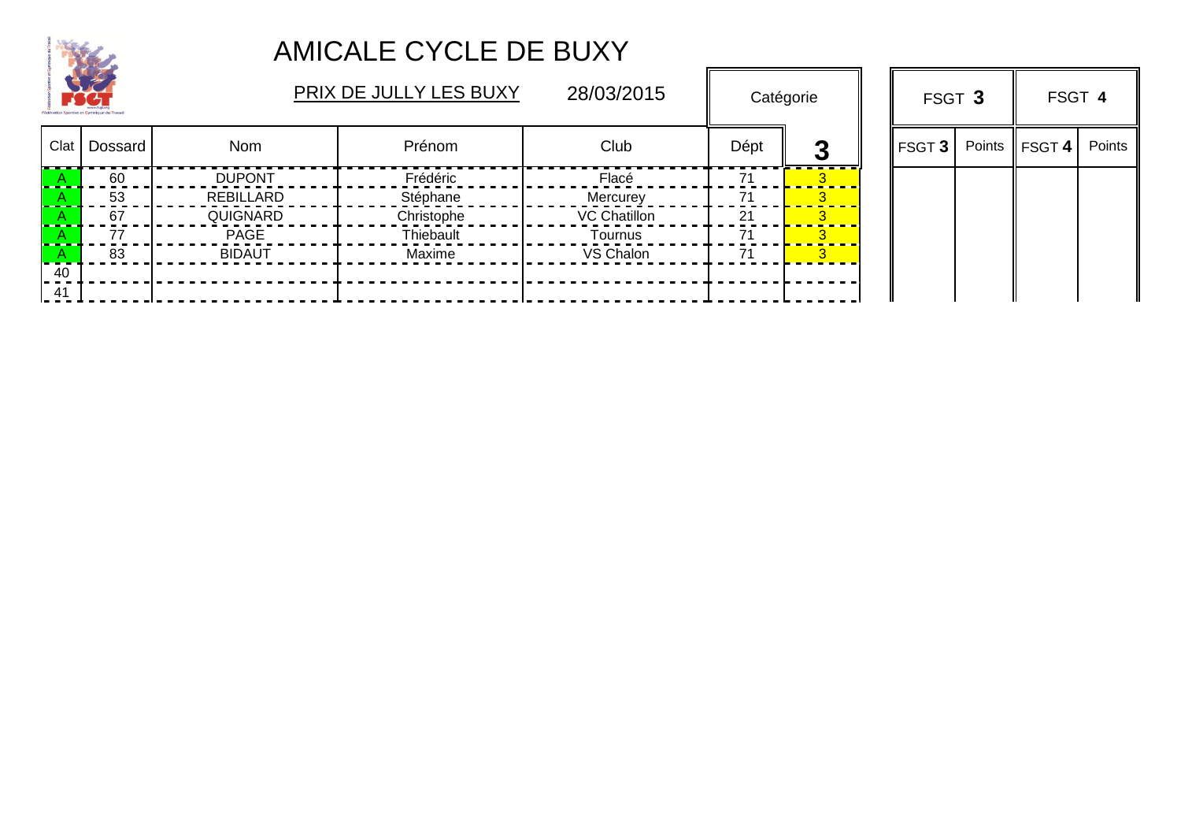

|    | $\rightarrow$<br>Sportive et Gymnigue du Trava |                  | PRIX DE JULLY LES BUXY | 28/03/2015   | Catégorie |   |               |        | FSGT 3        |        | FSGT 4 |  |
|----|------------------------------------------------|------------------|------------------------|--------------|-----------|---|---------------|--------|---------------|--------|--------|--|
|    | Clat   Dossard                                 | Nom              | Prénom                 | Club         | Dépt      | Ø | <b>FSGT 3</b> | Points | <b>FSGT 4</b> | Points |        |  |
|    | 60                                             | <b>DUPONT</b>    | Frédéric               | Flacé        |           |   |               |        |               |        |        |  |
|    | 53                                             | <b>REBILLARD</b> | Stéphane               | Mercurey     |           |   |               |        |               |        |        |  |
|    | 67                                             | QUIGNARD         | Christophe             | VC Chatillon | 21        |   |               |        |               |        |        |  |
|    | 77                                             | <b>PAGE</b>      | Thiebault              | Tournus      |           |   |               |        |               |        |        |  |
|    | 83                                             | <b>BIDAUT</b>    | Maxime                 | VS Chalon    | 71        |   |               |        |               |        |        |  |
| 40 |                                                |                  |                        |              |           |   |               |        |               |        |        |  |
| 41 |                                                |                  |                        |              |           |   |               |        |               |        |        |  |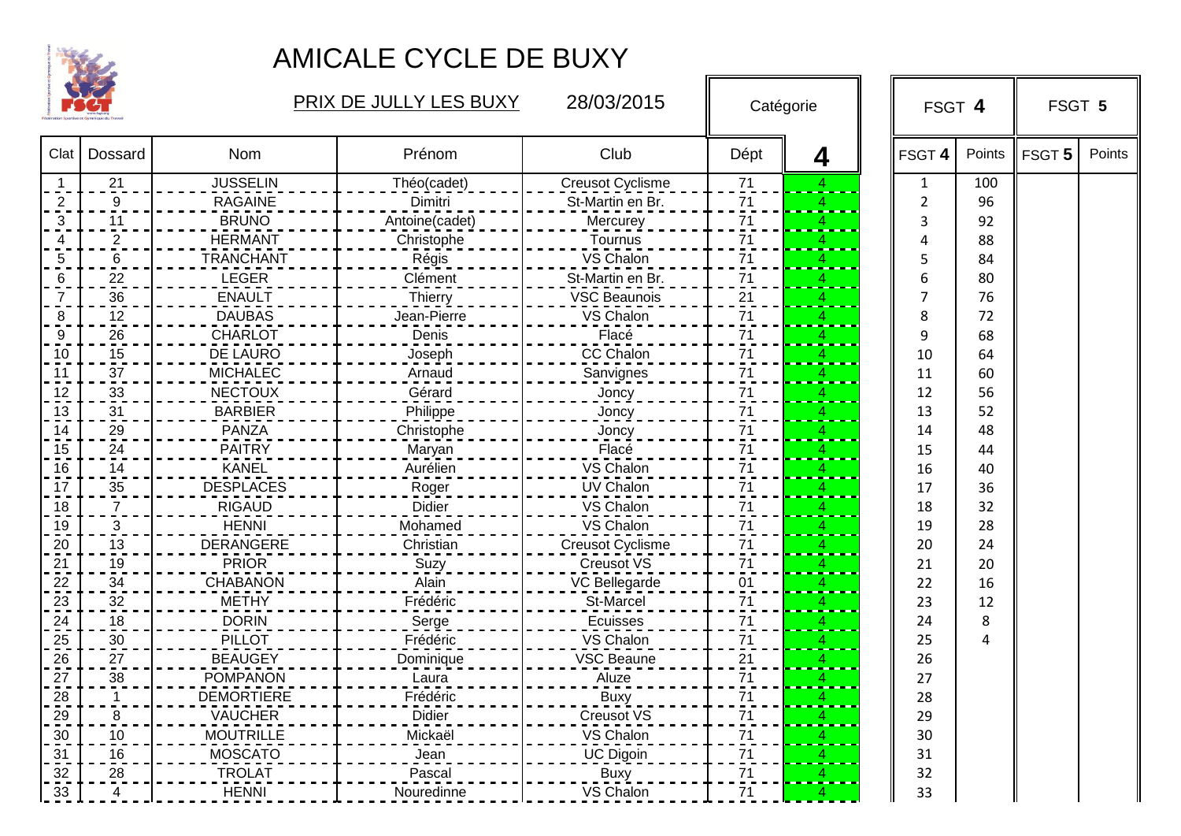

|                |                |                   | PRIX DE JULLY LES BUXY | 28/03/2015              | Catégorie                   |   |                   | FSGT 4         |        | FSGT 5 |
|----------------|----------------|-------------------|------------------------|-------------------------|-----------------------------|---|-------------------|----------------|--------|--------|
| Clat           | Dossard        | Nom               | Prénom                 | Club                    | Dépt                        | 4 | FSGT <sub>4</sub> | Points         | FSGT 5 | Points |
|                | 21             | <b>JUSSELIN</b>   | Théo(cadet)            | <b>Creusot Cyclisme</b> | 71                          |   | $\mathbf{1}$      | 100            |        |        |
| $\overline{2}$ | 9              | <b>RAGAINE</b>    | Dimitri                | St-Martin en Br.        | 71                          | 4 | $\overline{2}$    | 96             |        |        |
| 3              | 11             | <b>BRUNO</b>      | Antoine(cadet)         | Mercurey                | 71                          |   | 3                 | 92             |        |        |
| 4              | $\overline{2}$ | <b>HERMANT</b>    | Christophe             | Tournus                 | $\overline{7}$ <sup>1</sup> |   | Δ                 | 88             |        |        |
| 5              | 6              | <b>TRANCHANT</b>  | Régis                  | VS Chalon               | 71                          | 4 | 5                 | 84             |        |        |
| 6              | 22             | <b>LEGER</b>      | Clément                | St-Martin en Br.        | 71                          | Δ | 6                 | 80             |        |        |
| $\overline{7}$ | 36             | <b>ENAULT</b>     | Thierry                | <b>VSC Beaunois</b>     | $\overline{21}$             |   | 7                 | 76             |        |        |
| 8              | 12             | <b>DAUBAS</b>     | Jean-Pierre            | VS Chalon               | $\overline{71}$             |   | 8                 | 72             |        |        |
| 9              | 26             | <b>CHARLOT</b>    | Denis                  | Flacé                   | 71                          |   | 9                 | 68             |        |        |
| 10             | 15             | DE LAURO          | Joseph                 | CC Chalon               | 71                          |   | 10                | 64             |        |        |
| 11             | 37             | <b>MICHALEC</b>   | Arnaud                 | Sanvignes               | 71                          |   | 11                | 60             |        |        |
| 12             | 33             | <b>NECTOUX</b>    | Gérard                 | Joncy                   | 71                          | 4 | 12                | 56             |        |        |
| 13             | 31             | <b>BARBIER</b>    | Philippe               | Joncy                   | 71                          | 4 | 13                | 52             |        |        |
| 14             | 29             | <b>PANZA</b>      | Christophe             | Joncy                   | 71                          |   | 14                | 48             |        |        |
| 15             | 24             | <b>PAITRY</b>     | Maryan                 | Flacé                   | 71                          |   | 15                | 44             |        |        |
| 16             | 14             | <b>KANEL</b>      | Aurélien               | VS Chalon               | 71                          |   | 16                | 40             |        |        |
| 17             | $35\,$         | <b>DESPLACES</b>  | Roger                  | <b>UV Chalon</b>        | 71                          |   | 17                | 36             |        |        |
| 18             | 7              | <b>RIGAUD</b>     | <b>Didier</b>          | VS Chalon               | 71                          |   | 18                | 32             |        |        |
| 19             | $\overline{3}$ | <b>HENNI</b>      | Mohamed                | VS Chalon               | 71                          |   | 19                | 28             |        |        |
| 20             | 13             | <b>DERANGERE</b>  | Christian              | <b>Creusot Cyclisme</b> | 71                          |   | 20                | 24             |        |        |
| 21             | 19             | <b>PRIOR</b>      | Suzy                   | Creusot VS              | 71                          |   | 21                | 20             |        |        |
| 22             | 34             | <b>CHABANON</b>   | Alain                  | VC Bellegarde           | 01                          |   | 22                | 16             |        |        |
| 23             | 32             | <b>METHY</b>      | Frédéric               | St-Marcel               | 71                          |   | 23                | 12             |        |        |
| 24             | 18             | <b>DORIN</b>      | Serge                  | Ecuisses                | $\frac{71}{1}$              |   | 24                | 8              |        |        |
| 25             | $\frac{30}{1}$ | <b>PILLOT</b>     | Frédéric               | VS Chalon               | $\frac{71}{1}$              |   | 25                | $\overline{4}$ |        |        |
| 26             | 27             | <b>BEAUGEY</b>    | Dominique              | <b>VSC Beaune</b>       | $\frac{21}{1}$              |   | 26                |                |        |        |
| 27             | 38             | <b>POMPANON</b>   | Laura                  | Aluze                   | 71                          |   | 27                |                |        |        |
| 28             | 1              | <b>DEMORTIERE</b> | Frédéric               | <b>Buxy</b>             | 71                          |   | 28                |                |        |        |
| 29             | 8              | <b>VAUCHER</b>    | Didier                 | <b>Creusot VS</b>       | 71                          |   | 29                |                |        |        |
| 30             | 10             | <b>MOUTRILLE</b>  | Mickaël                | VS Chalon               | 71                          |   | 30                |                |        |        |
| 31             | 16             | <b>MOSCATO</b>    | Jean                   | <b>UC Digoin</b>        | $\overline{71}$             |   | 31                |                |        |        |
| 32             | 28             | <b>TROLAT</b>     | Pascal                 | <b>Buxy</b>             | $\overline{1}$              | Δ | 32                |                |        |        |
| 33             | 4              | <b>HENNI</b>      | Nouredinne             | VS Chalon               | 71                          | Δ | 33                |                |        |        |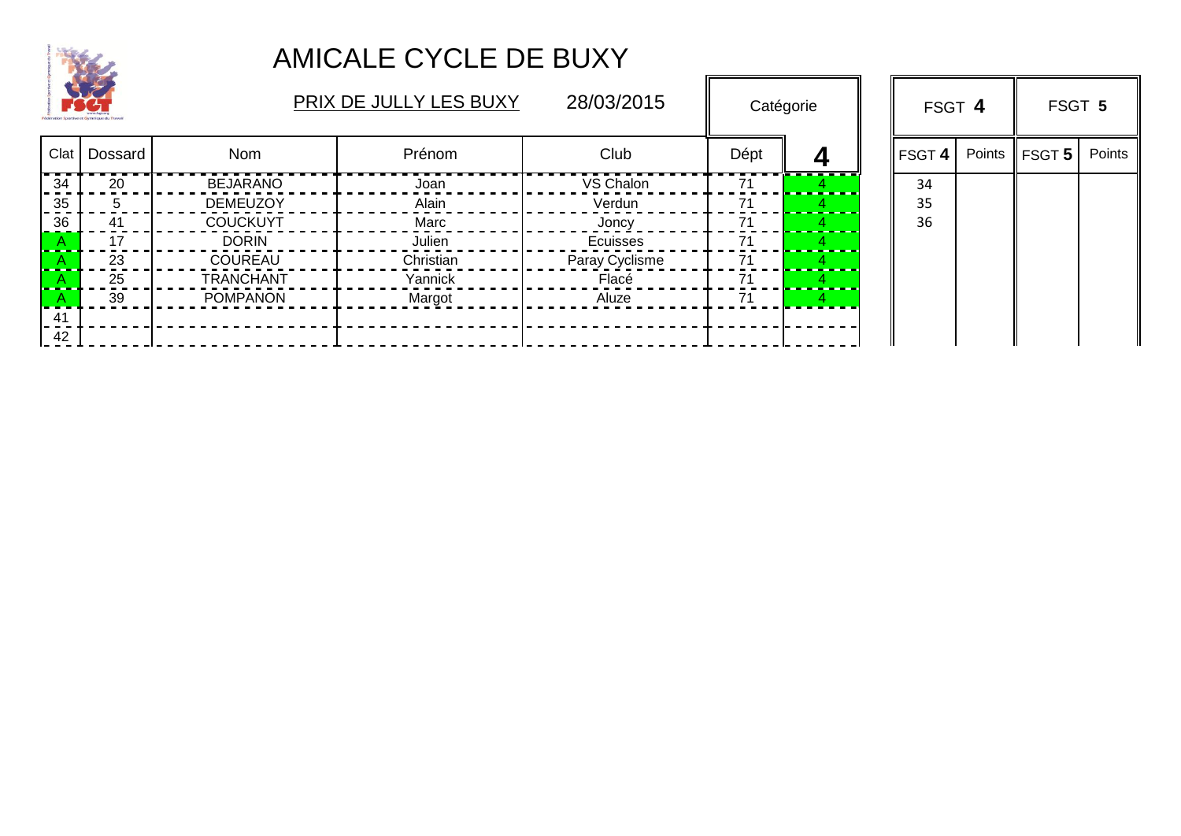

|      | <b>COMPA</b> |                  | PRIX DE JULLY LES BUXY |                |      | Catégorie | FSGT 4 |        | FSGT 5             |        |
|------|--------------|------------------|------------------------|----------------|------|-----------|--------|--------|--------------------|--------|
| Clat | Dossard      | Nom              | Prénom                 | Club           | Dépt | Д         | FSGT 4 | Points | $\parallel$ FSGT 5 | Points |
| 34   | 20           | <b>BEJARANO</b>  | Joan                   | VS Chalon      | 71   |           | 34     |        |                    |        |
| 35   |              | <b>DEMEUZOY</b>  | Alain                  | Verdun         | 71   |           | 35     |        |                    |        |
| 36   | 41           | <b>COUCKUYT</b>  | Marc                   | Joncy          | 71   |           | 36     |        |                    |        |
|      | 17           | <b>DORIN</b>     | Julien                 | Ecuisses       | 71   |           |        |        |                    |        |
|      | 23           | <b>COUREAU</b>   | Christian              | Paray Cyclisme | 71   |           |        |        |                    |        |
|      | 25           | <b>TRANCHANT</b> | Yannick                | Flacé          | 71   |           |        |        |                    |        |
|      | 39           | <b>POMPANON</b>  | Margot                 | Aluze          | 71   |           |        |        |                    |        |
| -41  |              |                  |                        |                |      |           |        |        |                    |        |
| 42   |              |                  |                        |                |      |           |        |        |                    |        |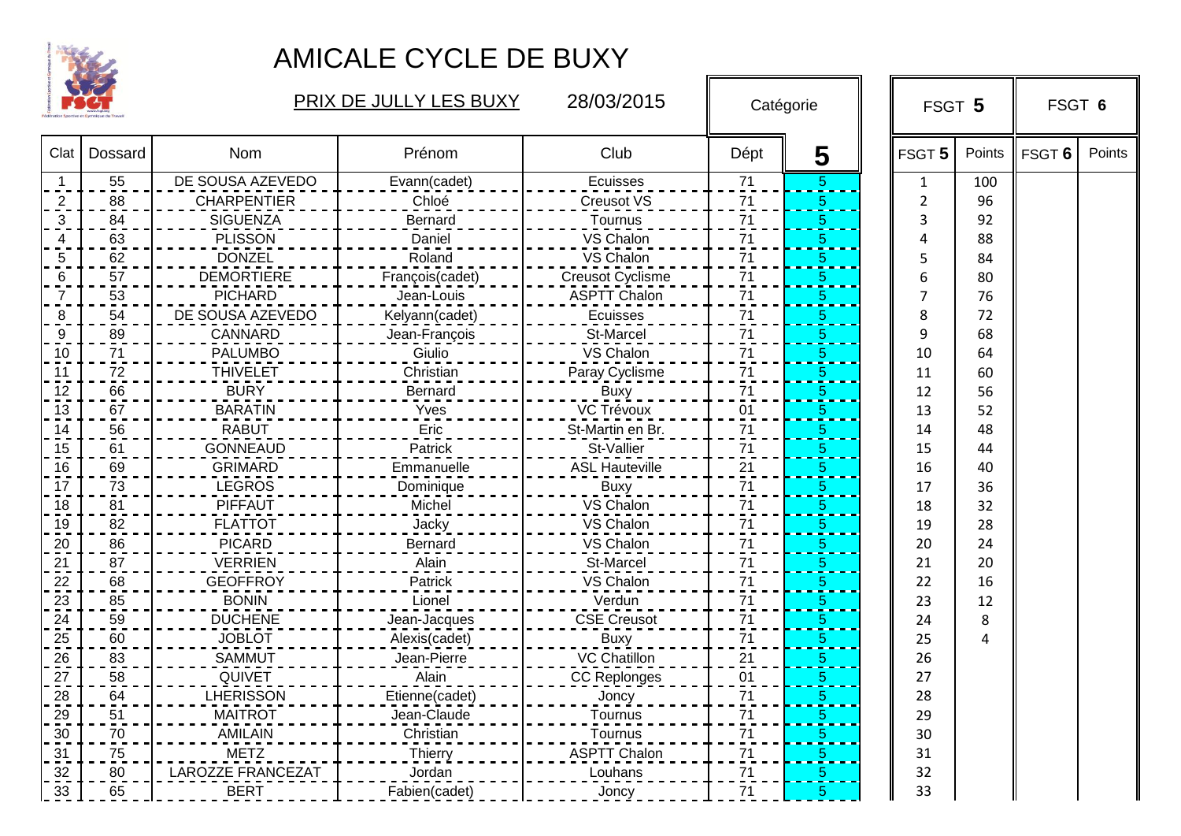

|      |         |                          | PRIX DE JULLY LES BUXY | 28/03/2015              | Catégorie       |                | FSGT 5 |        | FSGT 6 |        |  |
|------|---------|--------------------------|------------------------|-------------------------|-----------------|----------------|--------|--------|--------|--------|--|
| Clat | Dossard | Nom                      | Prénom                 | Club                    | Dépt            | 5              | FSGT 5 | Points | FSGT 6 | Points |  |
|      | 55      | DE SOUSA AZEVEDO         | Evann(cadet)           | Ecuisses                | 71              | 5              | 1      | 100    |        |        |  |
| 2    | 88      | <b>CHARPENTIER</b>       | Chloé                  | <b>Creusot VS</b>       | 71              | 5              | 2      | 96     |        |        |  |
| 3    | 84      | <b>SIGUENZA</b>          | <b>Bernard</b>         | Tournus                 | 71              | 5              | 3      | 92     |        |        |  |
|      | 63      | <b>PLISSON</b>           | Daniel                 | VS Chalon               | $\overline{7}1$ | 5              | Δ      | 88     |        |        |  |
|      | 62      | <b>DONZEL</b>            | Roland                 | VS Chalon               | 71              | 5              | 5      | 84     |        |        |  |
|      | 57      | <b>DEMORTIERE</b>        | François(cadet)        | <b>Creusot Cyclisme</b> | 71              | 5              | 6      | 80     |        |        |  |
|      | 53      | <b>PICHARD</b>           | Jean-Louis             | <b>ASPTT Chalon</b>     | $\overline{71}$ | 5              | 7      | 76     |        |        |  |
|      | 54      | DE SOUSA AZEVEDO         | Kelyann(cadet)         | Ecuisses                | 71              | 5              | 8      | 72     |        |        |  |
| 9    | 89      | CANNARD                  | Jean-François          | St-Marcel               | $\overline{71}$ | 5              | 9      | 68     |        |        |  |
| 10   | 71      | <b>PALUMBO</b>           | Giulio                 | VS Chalon               | 71              | 5              | 10     | 64     |        |        |  |
| 11   | 72      | <b>THIVELET</b>          | Christian              | Paray Cyclisme          | 71              | $\sqrt{5}$     | 11     | 60     |        |        |  |
| 12   | 66      | <b>BURY</b>              | Bernard                | <b>Buxy</b>             | 71              | $\overline{5}$ | 12     | 56     |        |        |  |
| 13   | 67      | <b>BARATIN</b>           | Yves                   | VC Trévoux              | 01              | 5              | 13     | 52     |        |        |  |
| 14   | 56      | <b>RABUT</b>             | Eric                   | St-Martin en Br.        | 71              | $\overline{5}$ | 14     | 48     |        |        |  |
| 15   | 61      | <b>GONNEAUD</b>          | Patrick                | St-Vallier              | 71              | $\overline{5}$ | 15     | 44     |        |        |  |
| 16   | 69      | <b>GRIMARD</b>           | Emmanuelle             | <b>ASL Hauteville</b>   | 21              | $\overline{5}$ | 16     | 40     |        |        |  |
| 17   | 73      | <b>LEGROS</b>            | Dominique              | <b>Buxy</b>             | 71              | $\overline{5}$ | 17     | 36     |        |        |  |
| 18   | 81      | <b>PIFFAUT</b>           | Michel                 | VS Chalon               | 71              | $\frac{5}{1}$  | 18     | 32     |        |        |  |
| 19   | 82      | <b>FLATTOT</b>           | Jacky                  | VS Chalon               | 71              | $\frac{5}{1}$  | 19     | 28     |        |        |  |
| 20   | 86      | <b>PICARD</b>            | Bernard                | VS Chalon               | 71              | $\frac{5}{1}$  | 20     | 24     |        |        |  |
| 21   | 87      | <b>VERRIEN</b>           | Alain                  | St-Marcel               | $\frac{71}{1}$  | $\frac{5}{1}$  | 21     | 20     |        |        |  |
| 22   | 68      | <b>GEOFFROY</b>          | Patrick                | VS Chalon               | 71              | 5              | 22     | 16     |        |        |  |
| 23   | 85      | <b>BONIN</b>             | Lionel                 | Verdun                  | 71              | 5              | 23     | 12     |        |        |  |
| 24   | 59      | <b>DUCHENE</b>           | Jean-Jacques           | <b>CSE Creusot</b>      | $71$            | 5              | 24     | 8      |        |        |  |
| 25   | 60      | <b>JOBLOT</b>            | Alexis(cadet)          | <b>Buxy</b>             | $71$            | 5              | 25     | 4      |        |        |  |
| 26   | 83      | <b>SAMMUT</b>            | Jean-Pierre            | VC Chatillon            | $\overline{21}$ | 5              | 26     |        |        |        |  |
| 27   | 58      | QUIVET                   | Alain                  | <b>CC Replonges</b>     | 01              | 5              | 27     |        |        |        |  |
| 28   | 64      | <b>LHERISSON</b>         | Etienne(cadet)         | Joncy                   | 71              | 5              | 28     |        |        |        |  |
| 29   | 51      | <b>MAITROT</b>           | Jean-Claude            | Tournus                 | 71              | 5              | 29     |        |        |        |  |
| 30   | 70      | <b>AMILAIN</b>           | Christian              | Tournus                 | 71              | 5              | 30     |        |        |        |  |
| 31   | 75      | <b>METZ</b>              | Thierry                | <b>ASPTT Chalon</b>     | $\overline{7}1$ | 5              | 31     |        |        |        |  |
| 32   | 80      | <b>LAROZZE FRANCEZAT</b> | Jordan                 | Louhans                 | $\overline{71}$ | 5              | 32     |        |        |        |  |
| 33   | 65      | <b>BERT</b>              | Fabien(cadet)          | Joncy                   | $\overline{71}$ | 5              | 33     |        |        |        |  |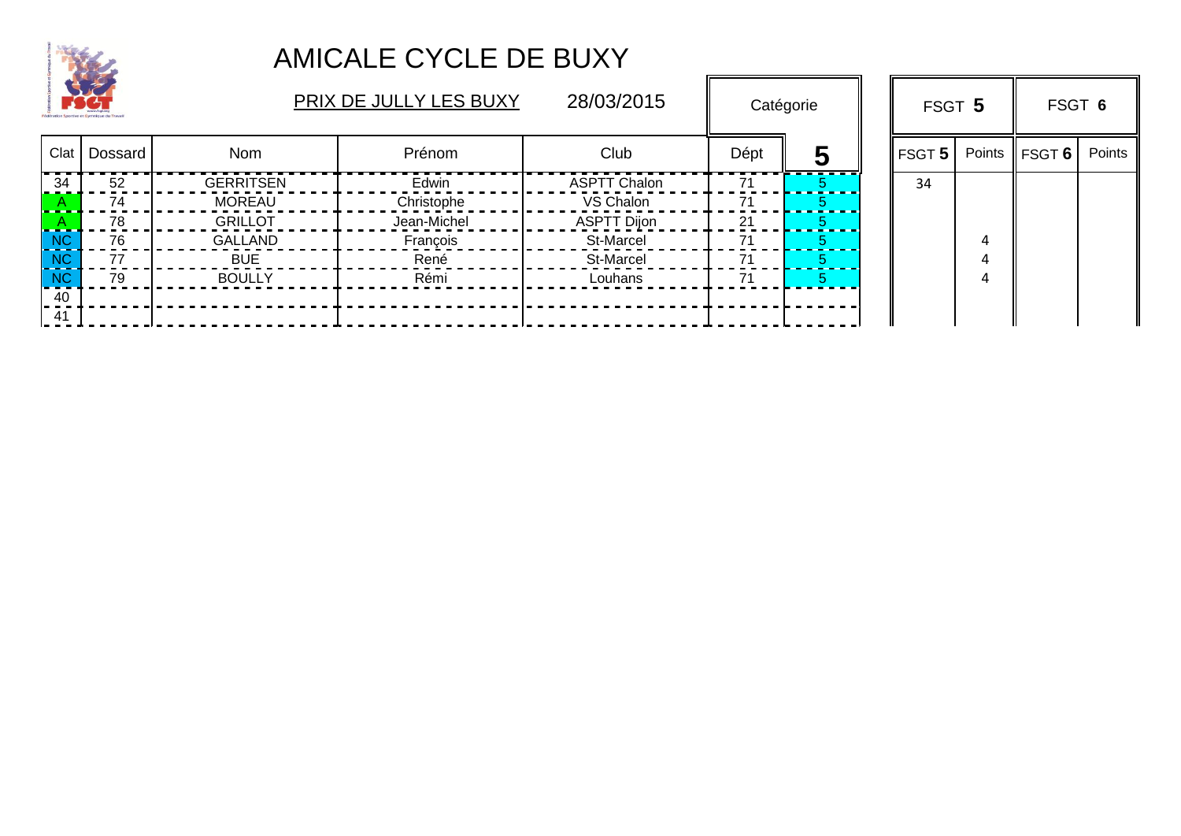

| $\rightarrow$ |                |                  | PRIX DE JULLY LES BUXY | 28/03/2015          |      | Catégorie |  |               |        | FSGT 5 |        | FSGT 6 |  |
|---------------|----------------|------------------|------------------------|---------------------|------|-----------|--|---------------|--------|--------|--------|--------|--|
|               | Clat   Dossard | <b>Nom</b>       | Prénom                 | Club                | Dépt | 5         |  | <b>FSGT 5</b> | Points | FSGT 6 | Points |        |  |
| 34            | 52             | <b>GERRITSEN</b> | Edwin                  | <b>ASPTT Chalon</b> |      |           |  | 34            |        |        |        |        |  |
|               | 74             | <b>MOREAU</b>    | Christophe             | VS Chalon           |      |           |  |               |        |        |        |        |  |
|               | 78             | <b>GRILLOT</b>   | Jean-Michel            | <b>ASPTT Dijon</b>  | 21   |           |  |               |        |        |        |        |  |
| <b>NC</b>     | 76             | <b>GALLAND</b>   | François               | St-Marcel           | 71   |           |  |               |        |        |        |        |  |
| <b>NC</b>     | 77             | <b>BUE</b>       | René                   | St-Marcel           |      |           |  |               |        |        |        |        |  |
| <b>NC</b>     | 79             | <b>BOULLY</b>    | Rémi                   | Louhans             | 71   |           |  |               |        |        |        |        |  |
| 40            |                |                  |                        |                     |      |           |  |               |        |        |        |        |  |
| 41            |                |                  |                        |                     |      |           |  |               |        |        |        |        |  |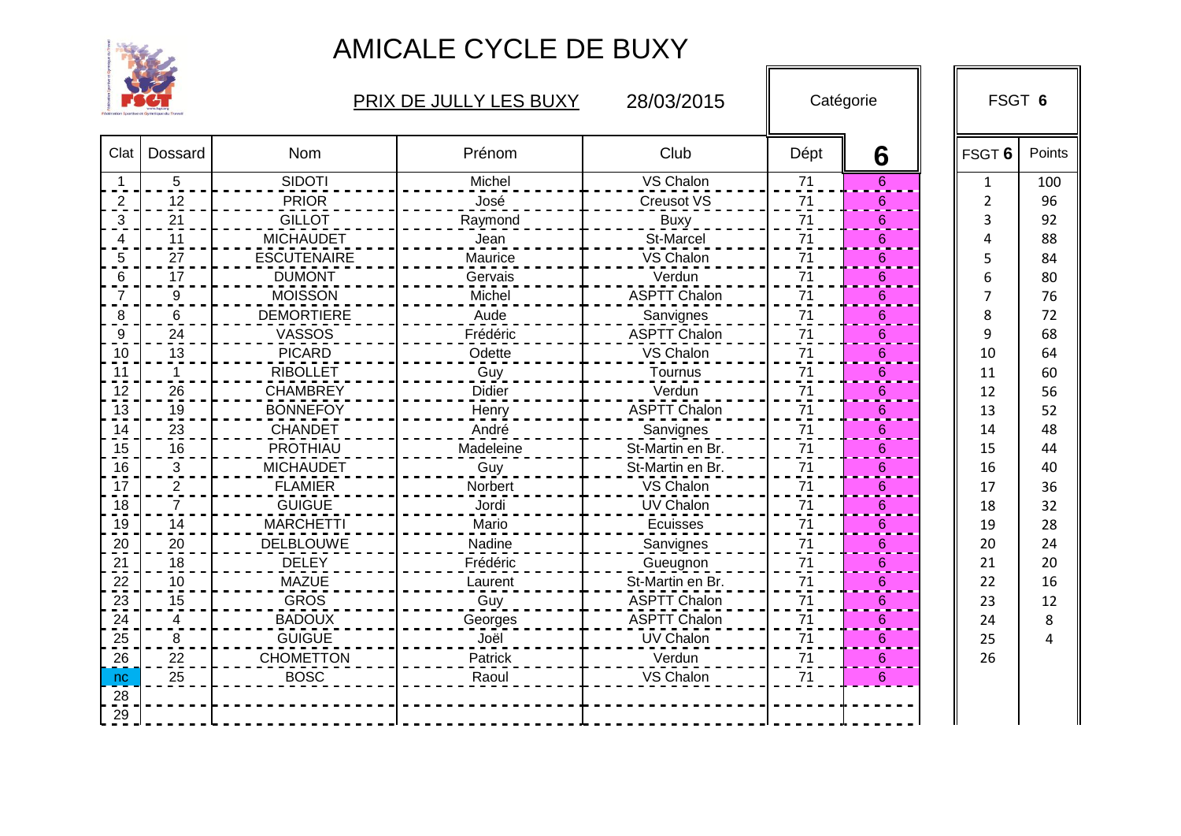

|                         |                |                    | PRIX DE JULLY LES BUXY | 28/03/2015          |      | Catégorie       |              | FSGT 6 |
|-------------------------|----------------|--------------------|------------------------|---------------------|------|-----------------|--------------|--------|
| Clat                    | Dossard        | Nom                | Prénom                 | Club                | Dépt | 6               | FSGT 6       | Points |
| $\overline{\mathbf{1}}$ | 5              | <b>SIDOTI</b>      | Michel                 | VS Chalon           | 71   | 6               | $\mathbf{1}$ | 100    |
| $\overline{2}$          | 12             | <b>PRIOR</b>       | José                   | <b>Creusot VS</b>   | 71   | 6               | 2            | 96     |
| 3                       | 21             | <b>GILLOT</b>      | Raymond                | <b>Buxy</b>         | 71   | 6               | ੨            | 92     |
| 4                       | 11             | <b>MICHAUDET</b>   | Jean                   | St-Marcel           | 71   | 6               |              | 88     |
| 5                       | 27             | <b>ESCUTENAIRE</b> | Maurice                | VS Chalon           | 71   | 6               |              | 84     |
| 6                       | 17             | <b>DUMONT</b>      | Gervais                | Verdun              | 71   | 6               |              | 80     |
| $\overline{7}$          | $9\,$          | <b>MOISSON</b>     | Michel                 | <b>ASPTT Chalon</b> | 71   | 6               |              | 76     |
| 8                       | 6              | <b>DEMORTIERE</b>  | Aude                   | Sanvignes           | 71   | 6               | 8            | 72     |
| 9                       | 24             | VASSOS             | Frédéric               | <b>ASPTT Chalon</b> | 71   | 6               | 9            | 68     |
| 10                      | 13             | <b>PICARD</b>      | Odette                 | VS Chalon           | 71   | 6               | 10           | 64     |
| 11                      |                | <b>RIBOLLET</b>    | Guy                    | Tournus             | 71   | 6               | 11           | 60     |
| 12                      | 26             | <b>CHAMBREY</b>    | <b>Didier</b>          | Verdun              | 71   | $6\phantom{1}6$ | 12           | 56     |
| 13                      | 19             | <b>BONNEFOY</b>    | Henry                  | <b>ASPTT Chalon</b> | 71   | 6               | 13           | 52     |
| 14                      | 23             | <b>CHANDET</b>     | André                  | Sanvignes           | 71   | $6\phantom{1}6$ | 14           | 48     |
| 15                      | 16             | <b>PROTHIAU</b>    | Madeleine              | St-Martin en Br.    | 71   | 6               | 15           | 44     |
| 16                      | 3              | <b>MICHAUDET</b>   | Guy                    | St-Martin en Br.    | 71   | 6               | 16           | 40     |
| 17                      | $\overline{c}$ | <b>FLAMIER</b>     | Norbert                | VS Chalon           | 71   | 6               | 17           | 36     |
| 18                      | $\overline{7}$ | <b>GUIGUE</b>      | Jordi                  | UV Chalon           | 71   | $6\phantom{1}6$ | 18           | 32     |
| 19                      | 14             | <b>MARCHETTI</b>   | Mario                  | <b>Ecuisses</b>     | 71   | 6               | 19           | 28     |
| 20                      | 20             | <b>DELBLOUWE</b>   | Nadine                 | Sanvignes           | 71   | 6               | 20           | 24     |
| 21                      | 18             | <b>DELEY</b>       | Frédéric               | Gueugnon            | 71   | $6\phantom{1}6$ | 21           | 20     |
| 22                      | 10             | <b>MAZUE</b>       | Laurent                | St-Martin en Br.    | 71   | 6               | 22           | 16     |
| 23                      | 15             | <b>GROS</b>        | Guy                    | <b>ASPTT Chalon</b> | 71   | $6\phantom{1}6$ | 23           | 12     |
| 24                      | $\overline{4}$ | <b>BADOUX</b>      | Georges                | <b>ASPTT Chalon</b> | 71   | 6               | 24           | 8      |
| 25                      | 8              | <b>GUIGUE</b>      | Joël                   | UV Chalon           | 71   | $6\phantom{1}6$ | 25           | 4      |
| 26                      | 22             | <b>CHOMETTON</b>   | Patrick                | Verdun              | 71   | 6               | 26           |        |
| nc                      | 25             | <b>BOSC</b>        | Raoul                  | VS Chalon           | 71   | 6               |              |        |
| 28                      |                |                    |                        |                     |      |                 |              |        |
| 29                      |                |                    |                        |                     |      |                 |              |        |
|                         |                |                    |                        |                     |      |                 |              |        |